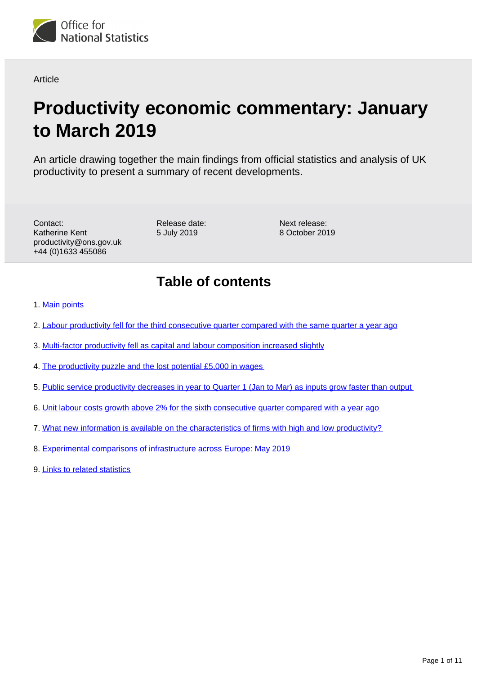

### **Article**

# **Productivity economic commentary: January to March 2019**

An article drawing together the main findings from official statistics and analysis of UK productivity to present a summary of recent developments.

Contact: Katherine Kent productivity@ons.gov.uk +44 (0)1633 455086

Release date: 5 July 2019

Next release: 8 October 2019

## **Table of contents**

- 1. [Main points](#page-1-0)
- 2. [Labour productivity fell for the third consecutive quarter compared with the same quarter a year ago](#page-1-1)
- 3. [Multi-factor productivity fell as capital and labour composition increased slightly](#page-2-0)
- 4. [The productivity puzzle and the lost potential £5,000 in wages](#page-4-0)
- 5. [Public service productivity decreases in year to Quarter 1 \(Jan to Mar\) as inputs grow faster than output](#page-5-0)
- 6. [Unit labour costs growth above 2% for the sixth consecutive quarter compared with a year ago](#page-6-0)
- 7. [What new information is available on the characteristics of firms with high and low productivity?](#page-7-0)
- 8. [Experimental comparisons of infrastructure across Europe: May 2019](#page-8-0)
- 9. [Links to related statistics](#page-9-0)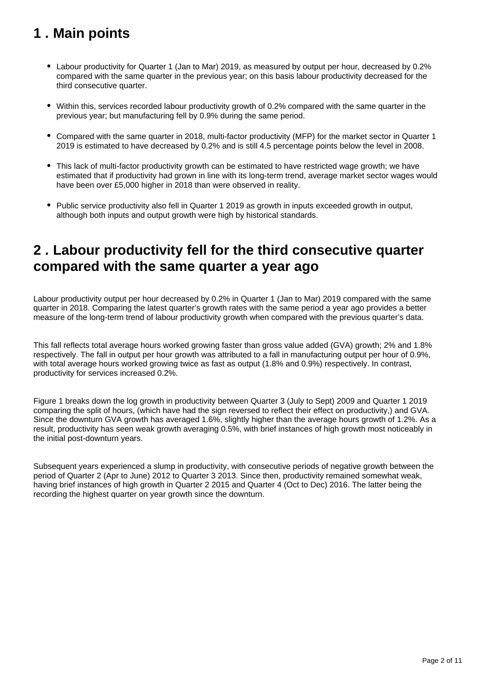## <span id="page-1-0"></span>**1 . Main points**

- Labour productivity for Quarter 1 (Jan to Mar) 2019, as measured by output per hour, decreased by 0.2% compared with the same quarter in the previous year; on this basis labour productivity decreased for the third consecutive quarter.
- Within this, services recorded labour productivity growth of 0.2% compared with the same quarter in the previous year; but manufacturing fell by 0.9% during the same period.
- Compared with the same quarter in 2018, multi-factor productivity (MFP) for the market sector in Quarter 1 2019 is estimated to have decreased by 0.2% and is still 4.5 percentage points below the level in 2008.
- This lack of multi-factor productivity growth can be estimated to have restricted wage growth; we have estimated that if productivity had grown in line with its long-term trend, average market sector wages would have been over £5,000 higher in 2018 than were observed in reality.
- Public service productivity also fell in Quarter 1 2019 as growth in inputs exceeded growth in output, although both inputs and output growth were high by historical standards.

## <span id="page-1-1"></span>**2 . Labour productivity fell for the third consecutive quarter compared with the same quarter a year ago**

Labour productivity output per hour decreased by 0.2% in Quarter 1 (Jan to Mar) 2019 compared with the same quarter in 2018. Comparing the latest quarter's growth rates with the same period a year ago provides a better measure of the long-term trend of labour productivity growth when compared with the previous quarter's data.

This fall reflects total average hours worked growing faster than gross value added (GVA) growth; 2% and 1.8% respectively. The fall in output per hour growth was attributed to a fall in manufacturing output per hour of 0.9%, with total average hours worked growing twice as fast as output (1.8% and 0.9%) respectively. In contrast, productivity for services increased 0.2%.

Figure 1 breaks down the log growth in productivity between Quarter 3 (July to Sept) 2009 and Quarter 1 2019 comparing the split of hours, (which have had the sign reversed to reflect their effect on productivity,) and GVA. Since the downturn GVA growth has averaged 1.6%, slightly higher than the average hours growth of 1.2%. As a result, productivity has seen weak growth averaging 0.5%, with brief instances of high growth most noticeably in the initial post-downturn years.

Subsequent years experienced a slump in productivity, with consecutive periods of negative growth between the period of Quarter 2 (Apr to June) 2012 to Quarter 3 2013. Since then, productivity remained somewhat weak, having brief instances of high growth in Quarter 2 2015 and Quarter 4 (Oct to Dec) 2016. The latter being the recording the highest quarter on year growth since the downturn.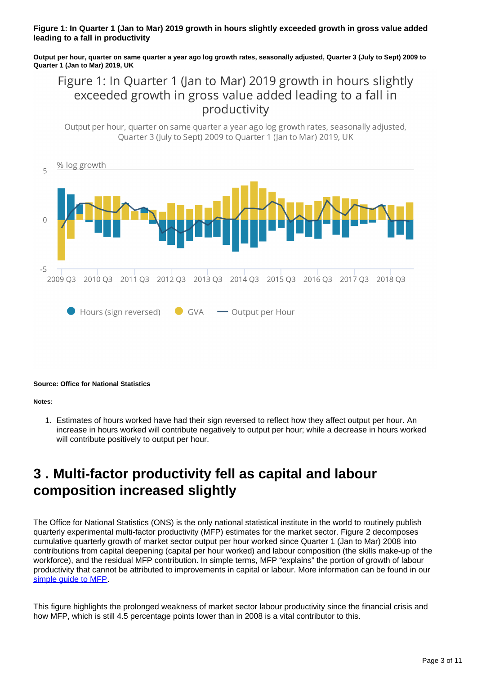### **Figure 1: In Quarter 1 (Jan to Mar) 2019 growth in hours slightly exceeded growth in gross value added leading to a fall in productivity**

**Output per hour, quarter on same quarter a year ago log growth rates, seasonally adjusted, Quarter 3 (July to Sept) 2009 to Quarter 1 (Jan to Mar) 2019, UK**

### Figure 1: In Quarter 1 (Jan to Mar) 2019 growth in hours slightly exceeded growth in gross value added leading to a fall in productivity

Output per hour, quarter on same quarter a year ago log growth rates, seasonally adjusted, Ouarter 3 (July to Sept) 2009 to Ouarter 1 (Jan to Mar) 2019, UK



#### **Source: Office for National Statistics**

#### **Notes:**

1. Estimates of hours worked have had their sign reversed to reflect how they affect output per hour. An increase in hours worked will contribute negatively to output per hour; while a decrease in hours worked will contribute positively to output per hour.

## <span id="page-2-0"></span>**3 . Multi-factor productivity fell as capital and labour composition increased slightly**

The Office for National Statistics (ONS) is the only national statistical institute in the world to routinely publish quarterly experimental multi-factor productivity (MFP) estimates for the market sector. Figure 2 decomposes cumulative quarterly growth of market sector output per hour worked since Quarter 1 (Jan to Mar) 2008 into contributions from capital deepening (capital per hour worked) and labour composition (the skills make-up of the workforce), and the residual MFP contribution. In simple terms, MFP "explains" the portion of growth of labour productivity that cannot be attributed to improvements in capital or labour. More information can be found in our [simple guide to MFP](https://www.ons.gov.uk/economy/economicoutputandproductivity/productivitymeasures/methodologies/asimpleguidetomultifactorproductivity).

This figure highlights the prolonged weakness of market sector labour productivity since the financial crisis and how MFP, which is still 4.5 percentage points lower than in 2008 is a vital contributor to this.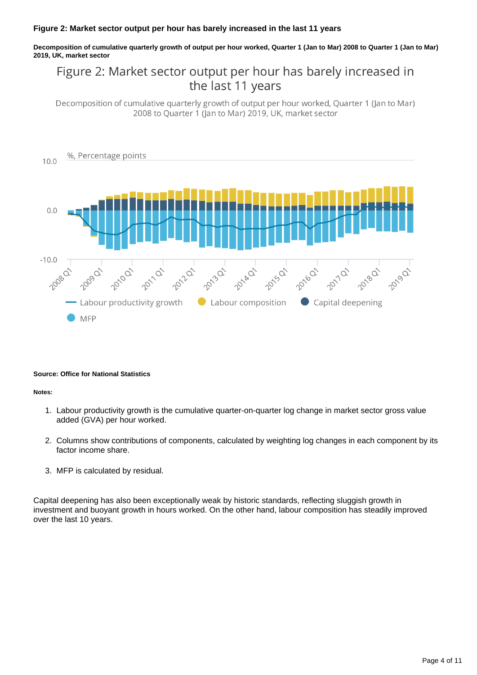### **Figure 2: Market sector output per hour has barely increased in the last 11 years**

**Decomposition of cumulative quarterly growth of output per hour worked, Quarter 1 (Jan to Mar) 2008 to Quarter 1 (Jan to Mar) 2019, UK, market sector**

## Figure 2: Market sector output per hour has barely increased in the last 11 years

Decomposition of cumulative quarterly growth of output per hour worked, Quarter 1 (Jan to Mar) 2008 to Quarter 1 (Jan to Mar) 2019, UK, market sector



#### **Source: Office for National Statistics**

#### **Notes:**

- 1. Labour productivity growth is the cumulative quarter-on-quarter log change in market sector gross value added (GVA) per hour worked.
- 2. Columns show contributions of components, calculated by weighting log changes in each component by its factor income share.
- 3. MFP is calculated by residual.

Capital deepening has also been exceptionally weak by historic standards, reflecting sluggish growth in investment and buoyant growth in hours worked. On the other hand, labour composition has steadily improved over the last 10 years.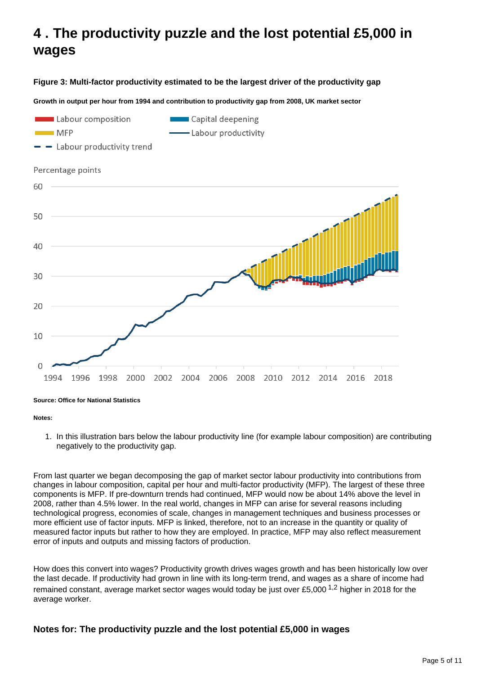## <span id="page-4-0"></span>**4 . The productivity puzzle and the lost potential £5,000 in wages**

**Figure 3: Multi-factor productivity estimated to be the largest driver of the productivity gap**

**Growth in output per hour from 1994 and contribution to productivity gap from 2008, UK market sector**



**Source: Office for National Statistics**

#### **Notes:**

1. In this illustration bars below the labour productivity line (for example labour composition) are contributing negatively to the productivity gap.

From last quarter we began decomposing the gap of market sector labour productivity into contributions from changes in labour composition, capital per hour and multi-factor productivity (MFP). The largest of these three components is MFP. If pre-downturn trends had continued, MFP would now be about 14% above the level in 2008, rather than 4.5% lower. In the real world, changes in MFP can arise for several reasons including technological progress, economies of scale, changes in management techniques and business processes or more efficient use of factor inputs. MFP is linked, therefore, not to an increase in the quantity or quality of measured factor inputs but rather to how they are employed. In practice, MFP may also reflect measurement error of inputs and outputs and missing factors of production.

How does this convert into wages? Productivity growth drives wages growth and has been historically low over the last decade. If productivity had grown in line with its long-term trend, and wages as a share of income had remained constant, average market sector wages would today be just over £5,000  $^{1,2}$  higher in 2018 for the average worker.

### **Notes for: The productivity puzzle and the lost potential £5,000 in wages**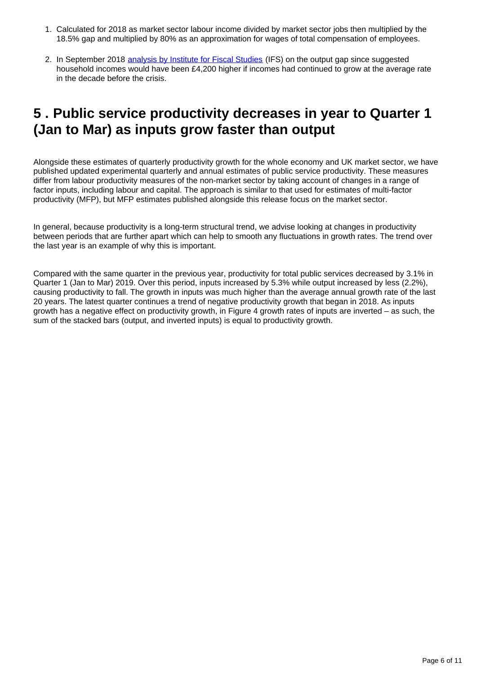- 1. Calculated for 2018 as market sector labour income divided by market sector jobs then multiplied by the 18.5% gap and multiplied by 80% as an approximation for wages of total compensation of employees.
- 2. In September 2018 [analysis by Institute for Fiscal Studies](https://www.ifs.org.uk/publications/13302) (IFS) on the output gap since suggested household incomes would have been £4,200 higher if incomes had continued to grow at the average rate in the decade before the crisis.

## <span id="page-5-0"></span>**5 . Public service productivity decreases in year to Quarter 1 (Jan to Mar) as inputs grow faster than output**

Alongside these estimates of quarterly productivity growth for the whole economy and UK market sector, we have published updated experimental quarterly and annual estimates of public service productivity. These measures differ from labour productivity measures of the non-market sector by taking account of changes in a range of factor inputs, including labour and capital. The approach is similar to that used for estimates of multi-factor productivity (MFP), but MFP estimates published alongside this release focus on the market sector.

In general, because productivity is a long-term structural trend, we advise looking at changes in productivity between periods that are further apart which can help to smooth any fluctuations in growth rates. The trend over the last year is an example of why this is important.

Compared with the same quarter in the previous year, productivity for total public services decreased by 3.1% in Quarter 1 (Jan to Mar) 2019. Over this period, inputs increased by 5.3% while output increased by less (2.2%), causing productivity to fall. The growth in inputs was much higher than the average annual growth rate of the last 20 years. The latest quarter continues a trend of negative productivity growth that began in 2018. As inputs growth has a negative effect on productivity growth, in Figure 4 growth rates of inputs are inverted – as such, the sum of the stacked bars (output, and inverted inputs) is equal to productivity growth.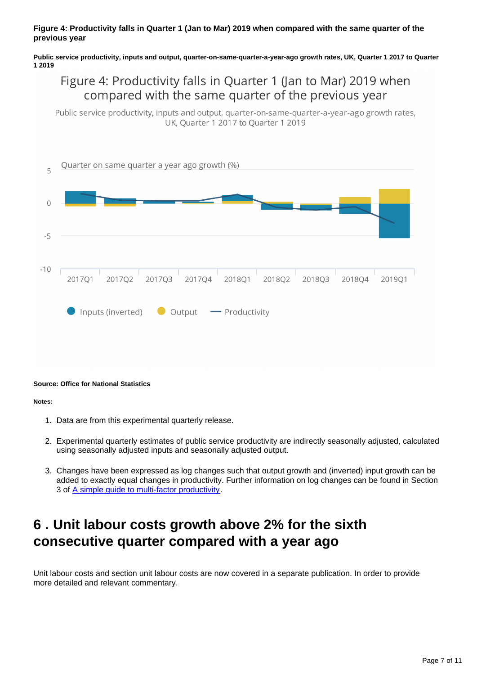### **Figure 4: Productivity falls in Quarter 1 (Jan to Mar) 2019 when compared with the same quarter of the previous year**

**Public service productivity, inputs and output, quarter-on-same-quarter-a-year-ago growth rates, UK, Quarter 1 2017 to Quarter 1 2019**

### Figure 4: Productivity falls in Quarter 1 (Jan to Mar) 2019 when compared with the same quarter of the previous year

Public service productivity, inputs and output, quarter-on-same-quarter-a-year-ago growth rates, UK, Quarter 1 2017 to Quarter 1 2019



#### **Source: Office for National Statistics**

#### **Notes:**

- 1. Data are from this experimental quarterly release.
- 2. Experimental quarterly estimates of public service productivity are indirectly seasonally adjusted, calculated using seasonally adjusted inputs and seasonally adjusted output.
- 3. Changes have been expressed as log changes such that output growth and (inverted) input growth can be added to exactly equal changes in productivity. Further information on log changes can be found in Section 3 of [A simple guide to multi-factor productivity](https://www.ons.gov.uk/economy/economicoutputandproductivity/productivitymeasures/methodologies/asimpleguidetomultifactorproductivity).

## <span id="page-6-0"></span>**6 . Unit labour costs growth above 2% for the sixth consecutive quarter compared with a year ago**

Unit labour costs and section unit labour costs are now covered in a separate publication. In order to provide more detailed and relevant commentary.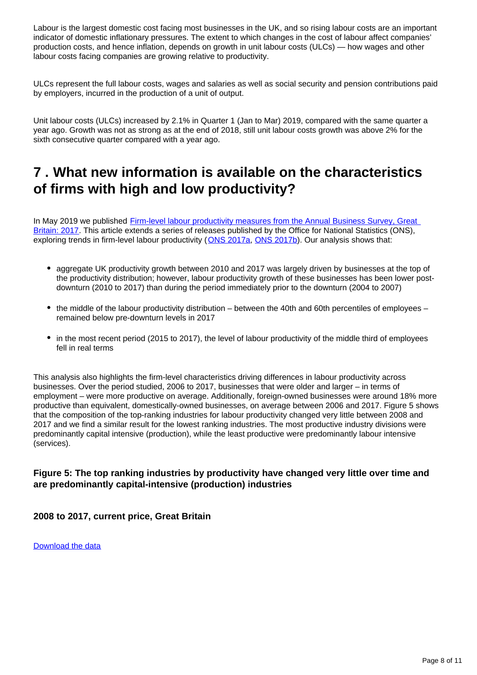Labour is the largest domestic cost facing most businesses in the UK, and so rising labour costs are an important indicator of domestic inflationary pressures. The extent to which changes in the cost of labour affect companies' production costs, and hence inflation, depends on growth in unit labour costs (ULCs) — how wages and other labour costs facing companies are growing relative to productivity.

ULCs represent the full labour costs, wages and salaries as well as social security and pension contributions paid by employers, incurred in the production of a unit of output.

Unit labour costs (ULCs) increased by 2.1% in Quarter 1 (Jan to Mar) 2019, compared with the same quarter a year ago. Growth was not as strong as at the end of 2018, still unit labour costs growth was above 2% for the sixth consecutive quarter compared with a year ago.

## <span id="page-7-0"></span>**7 . What new information is available on the characteristics of firms with high and low productivity?**

In May 2019 we published Firm-level labour productivity measures from the Annual Business Survey, Great [Britain: 2017.](https://www.ons.gov.uk/economy/economicoutputandproductivity/productivitymeasures/articles/firmlevellabourproductivitymeasuresfromtheannualbusinesssurveygreatbritain/2017) This article extends a series of releases published by the Office for National Statistics (ONS), exploring trends in firm-level labour productivity ([ONS 2017a](https://www.ons.gov.uk/economy/economicoutputandproductivity/productivitymeasures/articles/labourproductivitymeasuresfromtheannualbusinesssurvey/2006to2015), [ONS 2017b](https://www.ons.gov.uk/economy/economicoutputandproductivity/productivitymeasures/articles/understandingfirmsinthebottom10ofthelabourproductivitydistributioningreatbritain/jantomar2017)). Our analysis shows that:

- aggregate UK productivity growth between 2010 and 2017 was largely driven by businesses at the top of the productivity distribution; however, labour productivity growth of these businesses has been lower postdownturn (2010 to 2017) than during the period immediately prior to the downturn (2004 to 2007)
- the middle of the labour productivity distribution between the 40th and 60th percentiles of employees remained below pre-downturn levels in 2017
- in the most recent period (2015 to 2017), the level of labour productivity of the middle third of employees fell in real terms

This analysis also highlights the firm-level characteristics driving differences in labour productivity across businesses. Over the period studied, 2006 to 2017, businesses that were older and larger – in terms of employment – were more productive on average. Additionally, foreign-owned businesses were around 18% more productive than equivalent, domestically-owned businesses, on average between 2006 and 2017. Figure 5 shows that the composition of the top-ranking industries for labour productivity changed very little between 2008 and 2017 and we find a similar result for the lowest ranking industries. The most productive industry divisions were predominantly capital intensive (production), while the least productive were predominantly labour intensive (services).

### **Figure 5: The top ranking industries by productivity have changed very little over time and are predominantly capital-intensive (production) industries**

### **2008 to 2017, current price, Great Britain**

[Download the data](https://www.ons.gov.uk/visualisations/dvc622/figure6/datadownload.xlsx)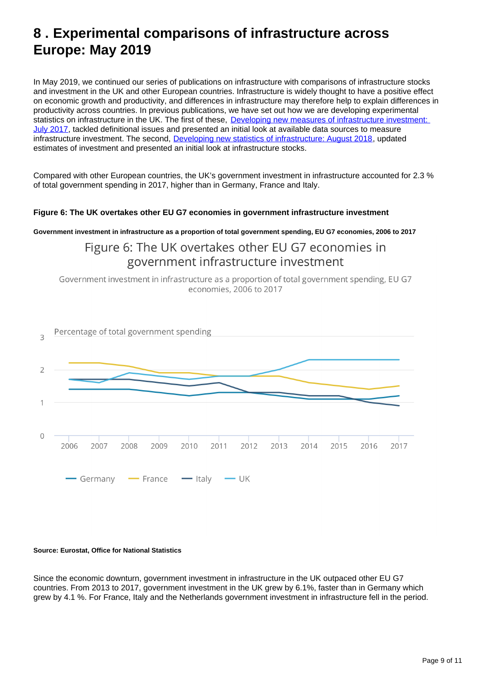## <span id="page-8-0"></span>**8 . Experimental comparisons of infrastructure across Europe: May 2019**

In May 2019, we continued our series of publications on infrastructure with comparisons of infrastructure stocks and investment in the UK and other European countries. Infrastructure is widely thought to have a positive effect on economic growth and productivity, and differences in infrastructure may therefore help to explain differences in productivity across countries. In previous publications, we have set out how we are developing experimental statistics on infrastructure in the UK. The first of these, [Developing new measures of infrastructure investment:](https://www.ons.gov.uk/economy/economicoutputandproductivity/productivitymeasures/articles/developingnewmeasuresofinfrastructureinvestment/july2017)  [July 2017](https://www.ons.gov.uk/economy/economicoutputandproductivity/productivitymeasures/articles/developingnewmeasuresofinfrastructureinvestment/july2017), tackled definitional issues and presented an initial look at available data sources to measure infrastructure investment. The second, [Developing new statistics of infrastructure: August 2018](https://www.ons.gov.uk/economy/economicoutputandproductivity/productivitymeasures/articles/developingnewmeasuresofinfrastructureinvestment/august2018), updated estimates of investment and presented an initial look at infrastructure stocks.

Compared with other European countries, the UK's government investment in infrastructure accounted for 2.3 % of total government spending in 2017, higher than in Germany, France and Italy.

### **Figure 6: The UK overtakes other EU G7 economies in government infrastructure investment**

**Government investment in infrastructure as a proportion of total government spending, EU G7 economies, 2006 to 2017**

### Figure 6: The UK overtakes other EU G7 economies in government infrastructure investment

Government investment in infrastructure as a proportion of total government spending, EU G7 economies, 2006 to 2017



#### **Source: Eurostat, Office for National Statistics**

Since the economic downturn, government investment in infrastructure in the UK outpaced other EU G7 countries. From 2013 to 2017, government investment in the UK grew by 6.1%, faster than in Germany which grew by 4.1 %. For France, Italy and the Netherlands government investment in infrastructure fell in the period.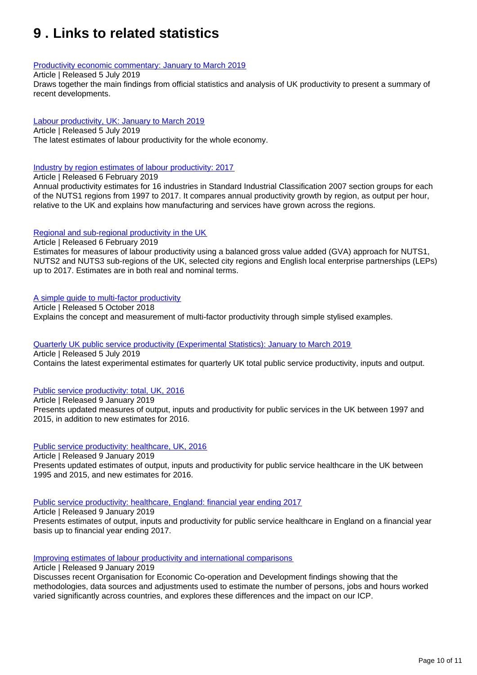## <span id="page-9-0"></span>**9 . Links to related statistics**

#### [Productivity economic commentary: January to March 2019](https://www.ons.gov.uk/employmentandlabourmarket/peopleinwork/labourproductivity/articles/ukproductivityintroduction/januarytomarch2019)

Article | Released 5 July 2019

Draws together the main findings from official statistics and analysis of UK productivity to present a summary of recent developments.

### [Labour productivity, UK: January to March 2019](https://www.ons.gov.uk/employmentandlabourmarket/peopleinwork/labourproductivity/bulletins/labourproductivity/januarytomarch2019)

Article | Released 5 July 2019 The latest estimates of labour productivity for the whole economy.

[Industry by region estimates of labour productivity: 2017](https://www.ons.gov.uk/economy/economicoutputandproductivity/productivitymeasures/articles/introducingindustrybyregionlabourmetricsandproductivity/latest)

Article | Released 6 February 2019

Annual productivity estimates for 16 industries in Standard Industrial Classification 2007 section groups for each of the NUTS1 regions from 1997 to 2017. It compares annual productivity growth by region, as output per hour, relative to the UK and explains how manufacturing and services have grown across the regions.

#### [Regional and sub-regional productivity in the UK](https://www.ons.gov.uk/employmentandlabourmarket/peopleinwork/labourproductivity/articles/regionalandsubregionalproductivityintheuk/latest)

Article | Released 6 February 2019 Estimates for measures of labour productivity using a balanced gross value added (GVA) approach for NUTS1, NUTS2 and NUTS3 sub-regions of the UK, selected city regions and English local enterprise partnerships (LEPs) up to 2017. Estimates are in both real and nominal terms.

### [A simple guide to multi-factor productivity](https://www.ons.gov.uk/economy/economicoutputandproductivity/productivitymeasures/methodologies/asimpleguidetomultifactorproductivity)

Article | Released 5 October 2018 Explains the concept and measurement of multi-factor productivity through simple stylised examples.

### [Quarterly UK public service productivity \(Experimental Statistics\): January to March 2019](https://www.ons.gov.uk/employmentandlabourmarket/peopleinwork/labourproductivity/articles/quarterlypublicserviceproductivityexperimentalstatistics/januarytomarch2019)

Article | Released 5 July 2019 Contains the latest experimental estimates for quarterly UK total public service productivity, inputs and output.

#### [Public service productivity: total, UK, 2016](https://www.ons.gov.uk/economy/economicoutputandproductivity/publicservicesproductivity/articles/publicservicesproductivityestimatestotalpublicservices/latest)

Article | Released 9 January 2019 Presents updated measures of output, inputs and productivity for public services in the UK between 1997 and 2015, in addition to new estimates for 2016.

#### [Public service productivity: healthcare, UK, 2016](https://www.ons.gov.uk/economy/economicoutputandproductivity/publicservicesproductivity/articles/publicservicesproductivityestimateshealthcare/latest)

Article | Released 9 January 2019 Presents updated estimates of output, inputs and productivity for public service healthcare in the UK between 1995 and 2015, and new estimates for 2016.

#### [Public service productivity: healthcare, England: financial year ending 2017](https://www.ons.gov.uk/economy/economicoutputandproductivity/publicservicesproductivity/articles/publicservicesproductivityestimateshealthcare/financialyearending2017)

Article | Released 9 January 2019

Presents estimates of output, inputs and productivity for public service healthcare in England on a financial year basis up to financial year ending 2017.

[Improving estimates of labour productivity and international comparisons](https://www.ons.gov.uk/economy/economicoutputandproductivity/productivitymeasures/articles/improvingestimatesoflabourproductivityandinternationalcomparisons/2019-01-09)

Article | Released 9 January 2019

Discusses recent Organisation for Economic Co-operation and Development findings showing that the methodologies, data sources and adjustments used to estimate the number of persons, jobs and hours worked varied significantly across countries, and explores these differences and the impact on our ICP.